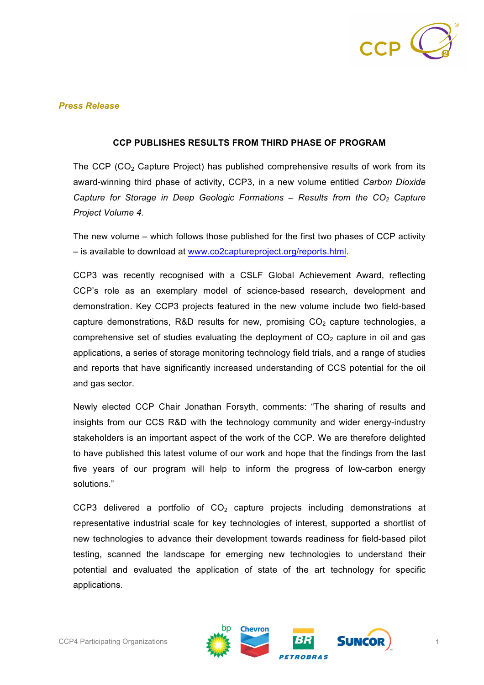

## *Press Release*

#### **CCP PUBLISHES RESULTS FROM THIRD PHASE OF PROGRAM**

The CCP (CO<sub>2</sub> Capture Project) has published comprehensive results of work from its award-winning third phase of activity, CCP3, in a new volume entitled *Carbon Dioxide Capture for Storage in Deep Geologic Formations* – *Results from the CO2 Capture Project Volume 4.*

The new volume – which follows those published for the first two phases of CCP activity – is available to download at www.co2captureproject.org/reports.html.

CCP3 was recently recognised with a CSLF Global Achievement Award, reflecting CCP's role as an exemplary model of science-based research, development and demonstration. Key CCP3 projects featured in the new volume include two field-based capture demonstrations, R&D results for new, promising  $CO<sub>2</sub>$  capture technologies, a comprehensive set of studies evaluating the deployment of  $CO<sub>2</sub>$  capture in oil and gas applications, a series of storage monitoring technology field trials, and a range of studies and reports that have significantly increased understanding of CCS potential for the oil and gas sector.

Newly elected CCP Chair Jonathan Forsyth, comments: "The sharing of results and insights from our CCS R&D with the technology community and wider energy-industry stakeholders is an important aspect of the work of the CCP. We are therefore delighted to have published this latest volume of our work and hope that the findings from the last five years of our program will help to inform the progress of low-carbon energy solutions."

CCP3 delivered a portfolio of  $CO<sub>2</sub>$  capture projects including demonstrations at representative industrial scale for key technologies of interest, supported a shortlist of new technologies to advance their development towards readiness for field-based pilot testing, scanned the landscape for emerging new technologies to understand their potential and evaluated the application of state of the art technology for specific applications.

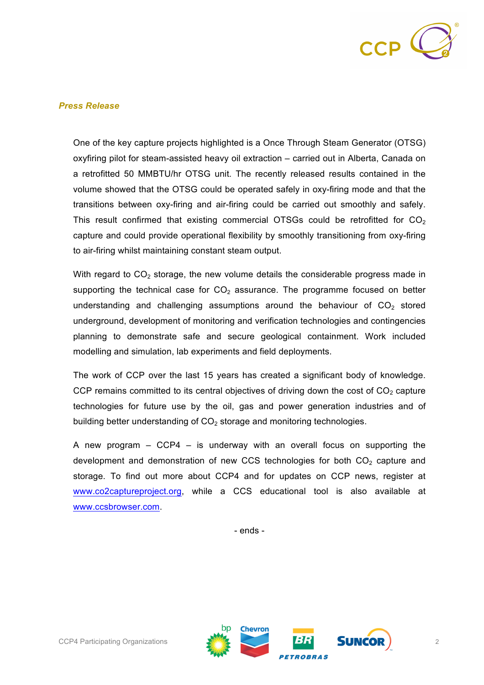

## *Press Release*

One of the key capture projects highlighted is a Once Through Steam Generator (OTSG) oxyfiring pilot for steam-assisted heavy oil extraction – carried out in Alberta, Canada on a retrofitted 50 MMBTU/hr OTSG unit. The recently released results contained in the volume showed that the OTSG could be operated safely in oxy-firing mode and that the transitions between oxy-firing and air-firing could be carried out smoothly and safely. This result confirmed that existing commercial OTSGs could be retrofitted for  $CO<sub>2</sub>$ capture and could provide operational flexibility by smoothly transitioning from oxy-firing to air-firing whilst maintaining constant steam output.

With regard to  $CO<sub>2</sub>$  storage, the new volume details the considerable progress made in supporting the technical case for  $CO<sub>2</sub>$  assurance. The programme focused on better understanding and challenging assumptions around the behaviour of  $CO<sub>2</sub>$  stored underground, development of monitoring and verification technologies and contingencies planning to demonstrate safe and secure geological containment. Work included modelling and simulation, lab experiments and field deployments.

The work of CCP over the last 15 years has created a significant body of knowledge. CCP remains committed to its central objectives of driving down the cost of  $CO<sub>2</sub>$  capture technologies for future use by the oil, gas and power generation industries and of building better understanding of  $CO<sub>2</sub>$  storage and monitoring technologies.

A new program – CCP4 – is underway with an overall focus on supporting the development and demonstration of new CCS technologies for both  $CO<sub>2</sub>$  capture and storage. To find out more about CCP4 and for updates on CCP news, register at www.co2captureproject.org, while a CCS educational tool is also available at www.ccsbrowser.com.

- ends -